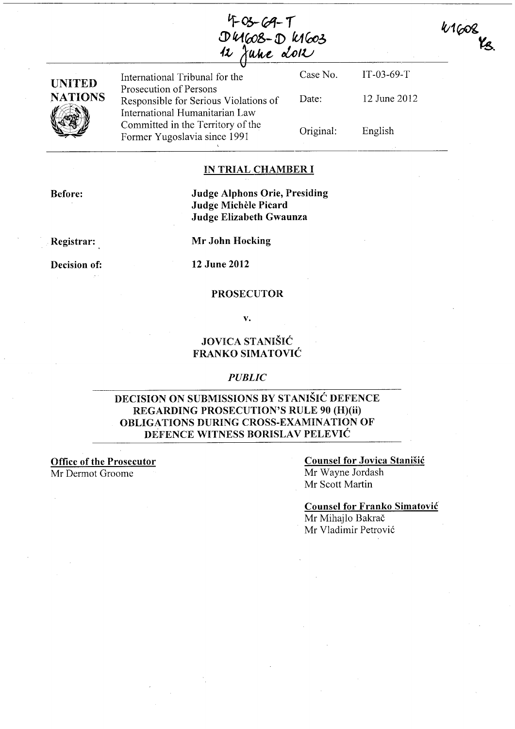$F$  Os-69- $T$  $D4608 - D4603$  $12$  June don

41608 Kg

IT-03-69-T

12 June 2012

English



International Tribunal for the Prosecution of Persons Responsible for Serious Violations of International Humanitarian Law Committed in the Territory of the Former Yugoslavia since 1991 , Case No. Date: Original:

#### IN TRIAL CHAMBER I

Before:

#### Judge Alphons Orie, Presiding Judge Michele Picard Judge Elizabeth Gwaunza

Registrar:

Mr John Hocking

Decision of:

12 June 2012

#### PROSECUTOR

v.

### JOVICA STANISIC FRANKO SIMATOVIĆ

#### *PUBLIC*

#### DECISION ON SUBMISSIONS BY STANISIC DEFENCE REGARDING PROSECUTION'S RULE 90 (H)(ii) OBLIGATIONS DURING CROSS-EXAMINATION OF DEFENCE WITNESS BORISLAV PELEVIĆ

Office of the Prosecutor Mr Dermot Groome

#### Counsel for Jovica Stanisic Mr Wayne Jordash Mr Scott Martin

Counsel for Franko Simatovic Mr Mihajlo Bakrač

Mr Vladimir Petrović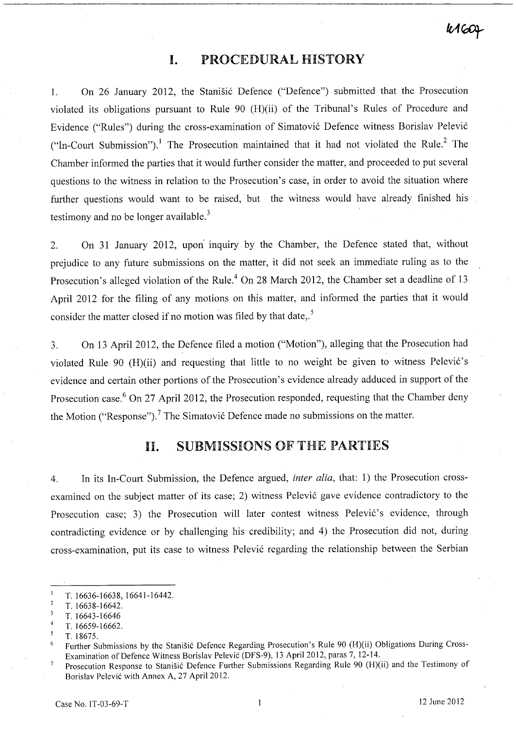### **I.** PROCEDURAL HISTORY

1. On 26 January 2012, the Stanistic Defence ("Defence") submitted that the Prosecution violated its obligations pursuant to Rule 90 (H)(ii) of the Tribunal's Rules of Procedure and Evidence ("Rules") during the cross-examination of Simatović Defence witness Borislav Pelević ("In-Court Submission").<sup>1</sup> The Prosecution maintained that it had not violated the Rule.<sup>2</sup> The Chamber informed the parties that it would further consider the matter, and proceeded to put several questions to the witness in relation to the Prosecution's case, in order to avoid the situation where further questions would want to be raised, but the witness would have already finished his testimony and no be longer available.<sup>3</sup>

2. On 31 January 2012, upon- inquiry by the Chamber, the Defence stated that, without prejudice to any future submissions on the matter, it did not seek an immediate ruling as to the Prosecution's alleged violation of the Rule.<sup>4</sup> On 28 March 2012, the Chamber set a deadline of 13 April 2012 for the filing of any motions on this matter, and informed the parties that it would consider the matter closed if no motion was filed by that date,.<sup>5</sup>

3. On 13 April 2012, the Defence filed a motion ("Motion"), alleging that the Prosecution had violated Rule 90 (H)(ii) and requesting that little to no weight be given to witness Pelević's evidence and certain other portions of the Prosecution's evidence already adduced in support of the Prosecution case.<sup>6</sup> On 27 April 2012, the Prosecution responded, requesting that the Chamber deny the Motion ("Response").<sup>7</sup> The Simatović Defence made no submissions on the matter.

## **11.** SUBMISSIONS OF THE PARTIES

4. In its In-Court Submission, the Defence argued, *inter alia,* that: 1) the Prosecution crossexamined on the subject matter of its case; 2) witness Pelević gave evidence contradictory to the Prosecution case; 3) the Prosecution will later contest witness Pelević's evidence, through contradicting evidence or by challenging his credibility; and 4) the Prosecution did not, during cross-examination, put its case to witness Pelević regarding the relationship between the Serbian

5 *T.18675.* 

T. 16636-16638,16641-16442.

 $\overline{2}$ *T.16638-16642.* 

 $\overline{\mathbf{3}}$ *T.16643-16646* 

<sup>4</sup>  T. 16659-16662.

Further Submissions by the Stanisic Defence Regarding Prosecution's Rule 90 (H)(ii) Obligations During Cross- $\boldsymbol{6}$ Examination of Defence Witness Boris1av Pelevic (DFS-9), 13 April 2012, paras 7,12-14.

Prosecution Response to Stanisic Defence Further Submissions Regarding Rule 90 (H)(ii) and the Testimony of Borislav Pelević with Annex A, 27 April 2012.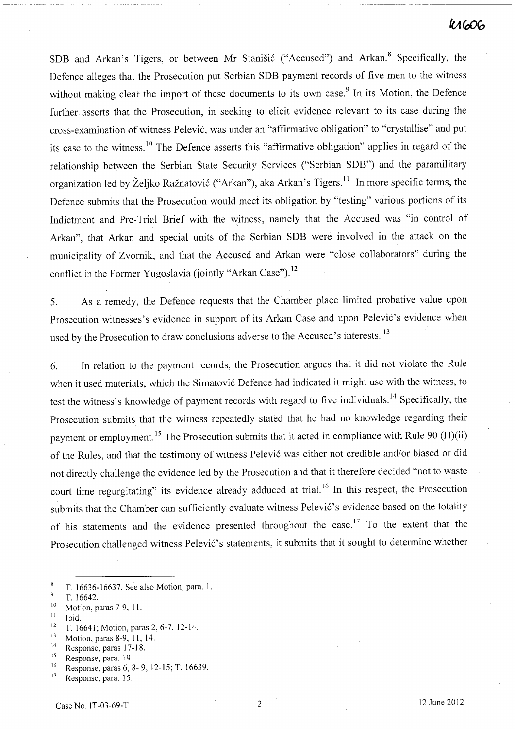### **K1606**

SDB and Arkan's Tigers, or between Mr Stanišić ("Accused") and Arkan.<sup>8</sup> Specifically, the Defence alleges that the Prosecution put Serbian SDB payment records of five men to the witness without making clear the import of these documents to its own case.<sup>9</sup> In its Motion, the Defence further asserts that the Prosecution, in seeking to elicit evidence relevant to its case during the cross-examination of witness Pelevic, was under an "affirmative obligation" to "crystallise" and put its case to the witness.<sup>10</sup> The Defence asserts this "affirmative obligation" applies in regard of the relationship between the Serbian State Security Services ("Serbian SDB") and the paramilitary organization led by Željko Ražnatović ("Arkan"), aka Arkan's Tigers.<sup>11</sup> In more specific terms, the Defence submits that the Prosecution would meet its obligation by "testing" various portions of its Indictment and Pre-Trial Brief with the witness, namely that the Accused was "in control of Arkan", that Arkan and special units of the Serbian SDB were involved in the attack on the municipality of Zvornik, and that the Accused and Arkan were "close collaborators" during the conflict in the Former Yugoslavia (jointly "Arkan Case").<sup>12</sup>

5. As a remedy, the Defence requests that the Chamber place limited probative value upon Prosecution witnesses's evidence in support of its Arkan Case and upon Pelević's evidence when used by the Prosecution to draw conclusions adverse to the Accused's interests.<sup>13</sup>

6. In relation to the payment records, the Prosecution argues that it did not violate the Rule when it used materials, which the Simatovic Defence had indicated it might use with the witness, to test the witness's knowledge of payment records with regard to five individuals. 14 Specifically, the Prosecution submits that the witness repeatedly stated that he had no knowledge regarding their payment or employment.<sup>15</sup> The Prosecution submits that it acted in compliance with Rule 90 (H)(ii) of the Rules, and that the testimony of witness Pelevic was either not credible and/or biased or did not directly challenge the evidence led by the Prosecution and that it therefore decided "not to waste court time regurgitating" its evidence already adduced at trial.<sup>16</sup> In this respect, the Prosecution submits that the Chamber can sufficiently evaluate witness Pelević's evidence based on the totality of his statements and the evidence presented throughout the case.17 To the extent that the Prosecution challenged witness Pelević's statements, it submits that it sought to determine whether

 $11$  Ibid.

<sup>14</sup> Response, paras 17-18.

 $\bf{8}$ T. 16636-16637. See also Motion, para.!.

 $\overline{9}$ T.16642.

<sup>10</sup> Motion, paras 7-9, 11.

<sup>&</sup>lt;sup>12</sup> T. 16641; Motion, paras 2, 6-7, 12-14.

<sup>13</sup> Motion, paras 8-9, 11, 14.

<sup>15</sup> Response, para. 19.

<sup>16</sup> Response, paras 6,8- 9,12-15; T. 16639.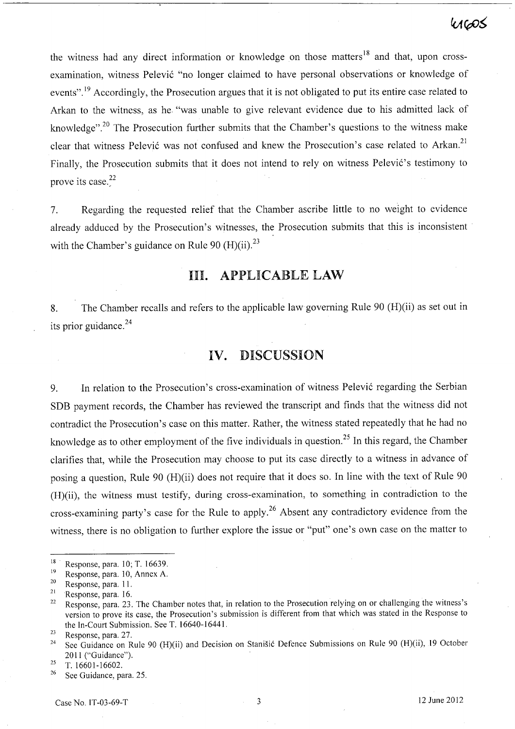# $40005$

the witness had any direct information or knowledge on those matters  $18$  and that, upon crossexamination, witness Pelević "no longer claimed to have personal observations or knowledge of events".<sup>19</sup> Accordingly, the Prosecution argues that it is not obligated to put its entire case related to Arkan to the witness, as he "was unable to give relevant evidence due to his admitted lack of knowledge".<sup>20</sup> The Prosecution further submits that the Chamber's questions to the witness make clear that witness Pelević was not confused and knew the Prosecution's case related to Arkan.<sup>21</sup> Finally, the Prosecution submits that it does not intend to rely on witness Pelević's testimony to prove its case. $2^2$ 

7. Regarding the requested relief that the Chamber ascribe little to no weight to evidence already adduced by the Prosecution's witnesses, the Prosecution submits that this is inconsistent with the Chamber's guidance on Rule 90  $(H)(ii)$ <sup>23</sup>

### Ill. APPLICABLE LAW

8. The Chamber recalls and refers to the applicable law governing Rule 90 (H)(ii) as set out in its prior guidance.<sup>24</sup>

### **IV.** DISCUSSION

9. In relation to the Prosecution's cross-examination of witness Pelević regarding the Serbian SDB payment records, the Chamber has reviewed the transcript and finds that the witness did not contradict the Prosecution's case on this matter. Rather, the witness stated repeatedly that he had no knowledge as to other employment of the five individuals in question.25 In this regard, the Chamber clarifies that, while the Prosecution may choose to put its case directly to a witness in advance of posing a question, Rule 90 (H)(ii) does not require that it does so. In line with the text of Rule 90 (H)(ii), the witness must testify, during cross-examination, to something in contradiction to the cross-examining party's case for the Rule to apply.<sup>26</sup> Absent any contradictory evidence from the witness, there is no obligation to further explore the issue or "put" one's own case on the matter to

<sup>&</sup>lt;sup>18</sup> Response, para. 10; T. 16639.

 $^{19}$  Response, para. 10, Annex A.<br> $^{20}$  Response para. 11

 $\frac{20}{21}$  Response, para. 11.

Response, para. 16.

<sup>&</sup>lt;sup>22</sup> Response, para. 23. The Chamber notes that, in relation to the Prosecution relying on or challenging the witness's version to prove its case, the Prosecution's submission is different from that which was stated in the Response to the In-Court Submission. See T. 16640-1644l.

 $\frac{23}{24}$  Response, para. 27.

See Guidance on Rule 90 (H)(ii) and Decision on Stanišić Defence Submissions on Rule 90 (H)(ii), 19 October 2011 ("Guidance").

 $25$  T. 16601-16602.

<sup>26</sup> See Guidance, para. 25.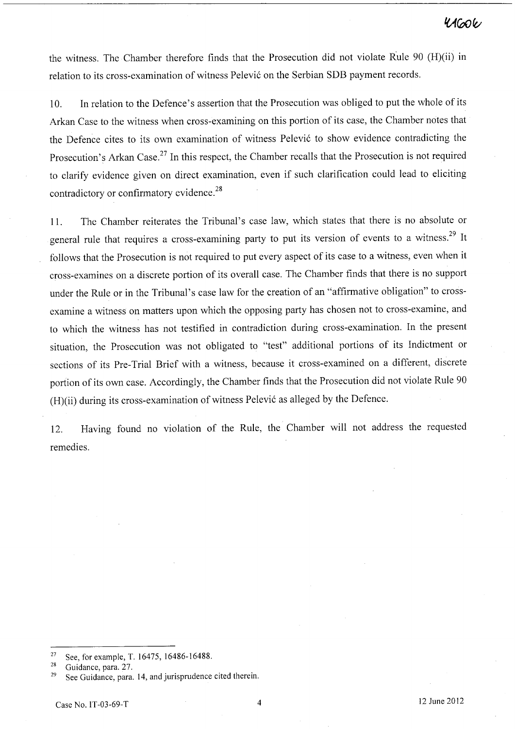the witness. The Chamber therefore finds that the Prosecution did not violate Rule 90 (H)(ii) in relation to its cross-examination of witness Pelevic on the Serbian SDB payment records.

10. In relation to the Defence's assertion that the Prosecution was obliged to put the whole of its Arkan Case to the witness when cross-examining on this portion of its case, the Chamber notes that the Defence cites to its own examination of witness Pelevic to show evidence contradicting the Prosecution's Arkan Case.<sup>27</sup> In this respect, the Chamber recalls that the Prosecution is not required to clarify evidence given on direct examination, even if such clarification could lead to eliciting contradictory or confirmatory evidence.<sup>28</sup>

11. The Chamber reiterates the Tribunal's case law, which states that there is no absolute or general rule that requires a cross-examining party to put its version of events to a witness.<sup>29</sup> It follows that the Prosecution is not required to put every aspect of its case to a witness, even when it cross-examines on a discrete portion of its overall case. The Chamber finds that there is no support under the Rule or in the Tribunal's case law for the creation of an "affirmative obligation" to crossexamine a witness on matters upon which the opposing party has chosen not to cross-examine, and to which the witness has not testified in contradiction during cross-examination. In the present situation, the Prosecution was not obligated to "test" additional portions of its Indictment or sections of its Pre-Trial Brief with a witness, because it cross-examined on a different, discrete portion of its own case. Accordingly, the Chamber finds that the Prosecution did not violate Rule 90 (H)(ii) during its cross-examination of witness Pelevic as alleged by the Defence.

12. Having found no violation of the Rule, the Chamber will not address the requested remedies.

<sup>27</sup> See, for example, T. 16475, 16486-16488.

<sup>28</sup> Guidance, para. 27.

 $29$  See Guidance, para. 14, and jurisprudence cited therein.